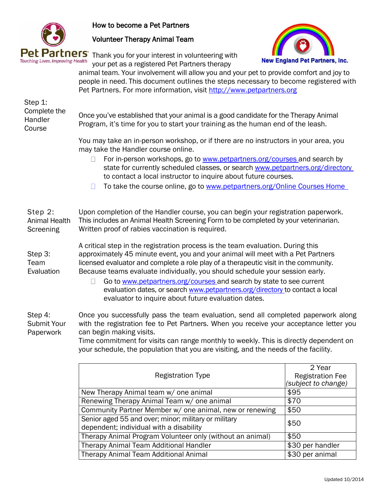

How to become a Pet Partners

Volunteer Therapy Animal Team



Pet Partners Thank you for your interest in volunteering with your pet as a registered Pet Partners therapy

animal team. Your involvement will allow you and your pet to provide comfort and joy to people in need. This document outlines the steps necessary to become registered with Pet Partners. For more information, visit [http://www.petpartners.org](http://www.petpartners.org/)

| Step 1:<br>Complete the<br>Handler<br>Course | Once you've established that your animal is a good candidate for the Therapy Animal<br>Program, it's time for you to start your training as the human end of the leash.                                                                                                                                                                     |                                   |  |
|----------------------------------------------|---------------------------------------------------------------------------------------------------------------------------------------------------------------------------------------------------------------------------------------------------------------------------------------------------------------------------------------------|-----------------------------------|--|
|                                              | You may take an in-person workshop, or if there are no instructors in your area, you<br>may take the Handler course online.<br>For in-person workshops, go to www.petpartners.org/courses and search by                                                                                                                                     |                                   |  |
|                                              | state for currently scheduled classes, or search www.petpartners.org/directory<br>to contact a local instructor to inquire about future courses.                                                                                                                                                                                            |                                   |  |
|                                              | To take the course online, go to www.petpartners.org/Online Courses Home                                                                                                                                                                                                                                                                    |                                   |  |
| Step 2:<br><b>Animal Health</b><br>Screening | Upon completion of the Handler course, you can begin your registration paperwork.<br>This includes an Animal Health Screening Form to be completed by your veterinarian.<br>Written proof of rabies vaccination is required.                                                                                                                |                                   |  |
| Step 3:<br>Team<br>Evaluation                | A critical step in the registration process is the team evaluation. During this<br>approximately 45 minute event, you and your animal will meet with a Pet Partners<br>licensed evaluator and complete a role play of a therapeutic visit in the community.<br>Because teams evaluate individually, you should schedule your session early. |                                   |  |
|                                              | Go to www.petpartners.org/courses and search by state to see current<br>П<br>evaluation dates, or search www.petpartners.org/directory to contact a local<br>evaluator to inquire about future evaluation dates.                                                                                                                            |                                   |  |
| Step 4:<br><b>Submit Your</b><br>Paperwork   | Once you successfully pass the team evaluation, send all completed paperwork along<br>with the registration fee to Pet Partners. When you receive your acceptance letter you<br>can begin making visits.<br>Time commitment for visits can range monthly to weekly. This is directly dependent on                                           |                                   |  |
|                                              | your schedule, the population that you are visiting, and the needs of the facility.                                                                                                                                                                                                                                                         |                                   |  |
|                                              | <b>Registration Type</b>                                                                                                                                                                                                                                                                                                                    | 2 Year<br><b>Registration Fee</b> |  |
|                                              |                                                                                                                                                                                                                                                                                                                                             |                                   |  |

| Registration Type                                         | Registration Fee<br>(subject to change) |
|-----------------------------------------------------------|-----------------------------------------|
| New Therapy Animal team w/ one animal                     | \$95                                    |
| Renewing Therapy Animal Team w/ one animal                | \$70                                    |
| Community Partner Member w/ one animal, new or renewing   | \$50                                    |
| Senior aged 55 and over; minor; military or military      | \$50                                    |
| dependent; individual with a disability                   |                                         |
| Therapy Animal Program Volunteer only (without an animal) | \$50                                    |
| Therapy Animal Team Additional Handler                    | \$30 per handler                        |
| <b>Therapy Animal Team Additional Animal</b>              | \$30 per animal                         |